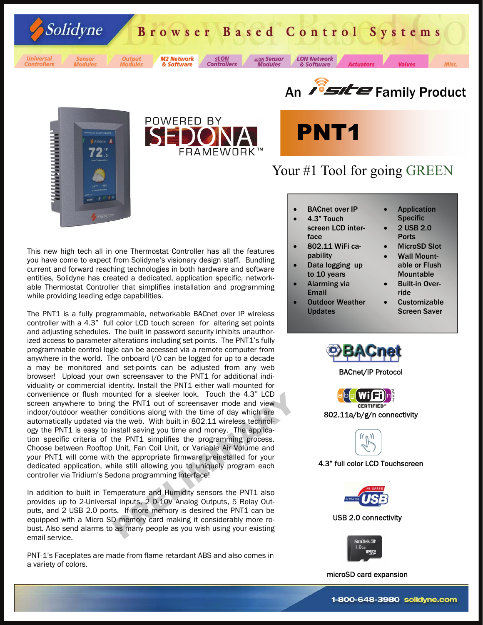Browser Based Control Systems





Universal<br>Controllers



Solidyne

**Output** 

**M2 Network sLON Controllers** & Software

**sLON** Sensor **Modules** 









**LON Network** 

& Software

# Your #1 Tool for going GREEN

**Actuators** 

**BACnet over IP** 

- 4.3" Touch screen LCD interface
- 802.11 WiFi capability
- Data logging up to 10 years
- Alarming via Email
- **Outdoor Weather** Updates

**Application Specific** 

• 2 USB 2.0 Ports

- MicroSD Slot
- Wall Mountable or Flush Mountable
- **Built-in Over**ride
- **Customizable** Screen Saver



BACnet/IP Protocol



802.11a/b/g/n connectivity

ll.

4.3" full color LCD Touchscreen



USB 2.0 connectivity



microSD card expansion

This new high tech all in one Thermostat Controller has all the features you have come to expect from Solidyne's visionary design staff. Bundling current and forward reaching technologies in both hardware and software entities, Solidyne has created a dedicated, application specific, networkable Thermostat Controller that simplifies installation and programming while providing leading edge capabilities.

unted for a sleeker look. Touch the 4.3" LCD<br>g the PNT1 out of screensaver mode and view<br>conditions along with the time of day which are<br>it the web. With built in 802.11 wireless technol-<br>nstall saving you time and money. The PNT1 is a fully programmable, networkable BACnet over IP wireless controller with a 4.3" full color LCD touch screen for altering set points and adjusting schedules. The built in password security inhibits unauthorized access to parameter alterations including set points. The PNT1's fully programmable control logic can be accessed via a remote computer from anywhere in the world. The onboard I/O can be logged for up to a decade a may be monitored and set-points can be adjusted from any web browser! Upload your own screensaver to the PNT1 for additional individuality or commercial identity. Install the PNT1 either wall mounted for convenience or flush mounted for a sleeker look. Touch the 4.3" LCD screen anywhere to bring the PNT1 out of screensaver mode and view indoor/outdoor weather conditions along with the time of day which are automatically updated via the web. With built in 802.11 wireless technology the PNT1 is easy to install saving you time and money. The application specific criteria of the PNT1 simplifies the programming process. Choose between Rooftop Unit, Fan Coil Unit, or Variable Air Volume and your PNT1 will come with the appropriate firmware preinstalled for your dedicated application, while still allowing you to uniquely program each controller via Tridium's Sedona programming interface!

In addition to built in Temperature and Humidity sensors the PNT1 also provides up to 2-Universal inputs, 2 0-10V Analog Outputs, 5 Relay Outputs, and 2 USB 2.0 ports. If more memory is desired the PNT1 can be equipped with a Micro SD memory card making it considerably more robust. Also send alarms to as many people as you wish using your existing email service.

PNT-1's Faceplates are made from flame retardant ABS and also comes in a variety of colors.